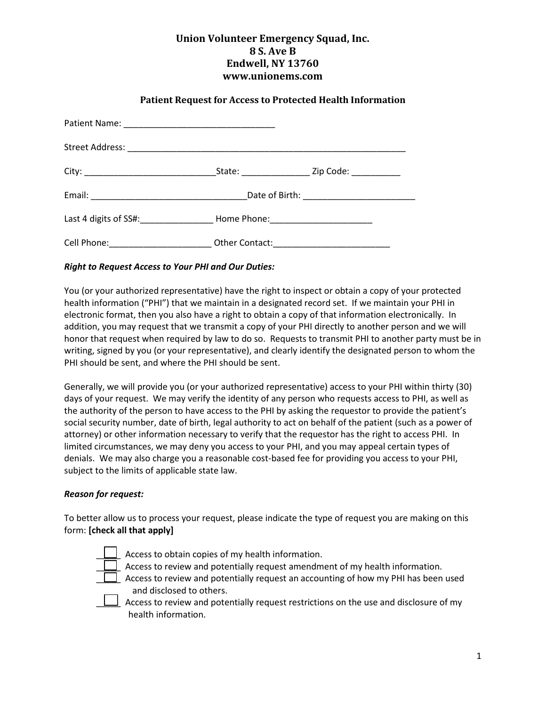# **Union Volunteer Emergency Squad, Inc. 8 S. Ave B Endwell, NY 13760 www.unionems.com**

## **Patient Request for Access to Protected Health Information**

|                                                                                  | _State: _________________________ Zip Code: _______________                      |  |  |  |  |
|----------------------------------------------------------------------------------|----------------------------------------------------------------------------------|--|--|--|--|
|                                                                                  |                                                                                  |  |  |  |  |
|                                                                                  | Last 4 digits of SS#: ________________________Home Phone: ______________________ |  |  |  |  |
| Cell Phone: _____________________________ Other Contact: _______________________ |                                                                                  |  |  |  |  |

### *Right to Request Access to Your PHI and Our Duties:*

You (or your authorized representative) have the right to inspect or obtain a copy of your protected health information ("PHI") that we maintain in a designated record set. If we maintain your PHI in electronic format, then you also have a right to obtain a copy of that information electronically. In addition, you may request that we transmit a copy of your PHI directly to another person and we will honor that request when required by law to do so. Requests to transmit PHI to another party must be in writing, signed by you (or your representative), and clearly identify the designated person to whom the PHI should be sent, and where the PHI should be sent.

Generally, we will provide you (or your authorized representative) access to your PHI within thirty (30) days of your request. We may verify the identity of any person who requests access to PHI, as well as the authority of the person to have access to the PHI by asking the requestor to provide the patient's social security number, date of birth, legal authority to act on behalf of the patient (such as a power of attorney) or other information necessary to verify that the requestor has the right to access PHI. In limited circumstances, we may deny you access to your PHI, and you may appeal certain types of denials. We may also charge you a reasonable cost-based fee for providing you access to your PHI, subject to the limits of applicable state law.

#### *Reason for request:*

To better allow us to process your request, please indicate the type of request you are making on this form: **[check all that apply]** 

Access to obtain copies of my health information.



Access to review and potentially request amendment of my health information.



 $\Box$  Access to review and potentially request an accounting of how my PHI has been used and disclosed to others.

Access to review and potentially request restrictions on the use and disclosure of my health information.